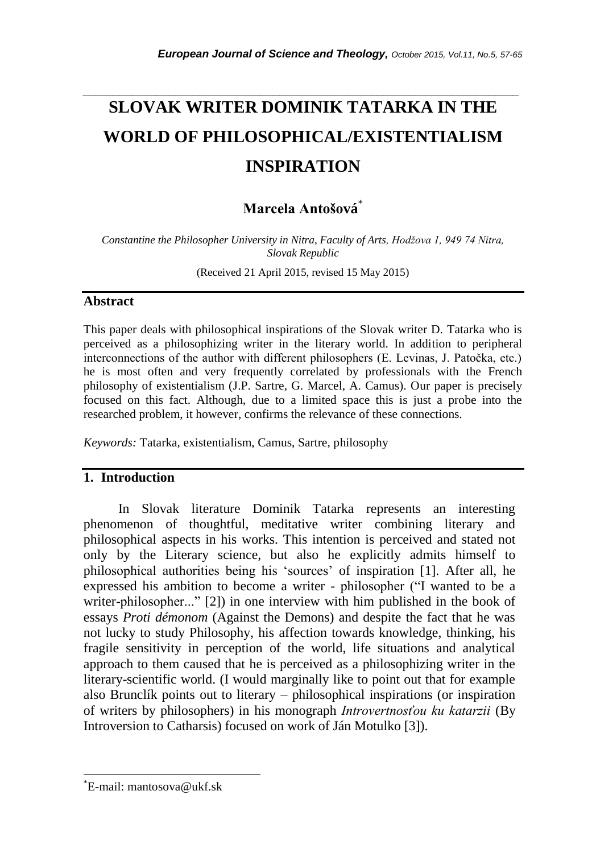# *\_\_\_\_\_\_\_\_\_\_\_\_\_\_\_\_\_\_\_\_\_\_\_\_\_\_\_\_\_\_\_\_\_\_\_\_\_\_\_\_\_\_\_\_\_\_\_\_\_\_\_\_\_\_\_\_\_\_\_\_\_\_\_\_\_\_\_\_\_\_\_* **SLOVAK WRITER DOMINIK TATARKA IN THE WORLD OF PHILOSOPHICAL/EXISTENTIALISM INSPIRATION**

# **Marcela Antošová**\*

Constantine the Philosopher University in Nitra, Faculty of Arts, Hodžova 1, 949 74 Nitra, *Slovak Republic*

(Received 21 April 2015, revised 15 May 2015)

## **Abstract**

This paper deals with philosophical inspirations of the Slovak writer D. Tatarka who is perceived as a philosophizing writer in the literary world. In addition to peripheral interconnections of the author with different philosophers (E. Levinas, J. Patočka, etc.) he is most often and very frequently correlated by professionals with the French philosophy of existentialism (J.P. Sartre, G. Marcel, A. Camus). Our paper is precisely focused on this fact. Although, due to a limited space this is just a probe into the researched problem, it however, confirms the relevance of these connections.

*Keywords:* Tatarka, existentialism, Camus, Sartre, philosophy

# **1. Introduction**

In Slovak literature Dominik Tatarka represents an interesting phenomenon of thoughtful, meditative writer combining literary and philosophical aspects in his works. This intention is perceived and stated not only by the Literary science, but also he explicitly admits himself to philosophical authorities being his "sources" of inspiration [1]. After all, he expressed his ambition to become a writer - philosopher ("I wanted to be a writer-philosopher..." [2]) in one interview with him published in the book of essays *Proti démonom* (Against the Demons) and despite the fact that he was not lucky to study Philosophy, his affection towards knowledge, thinking, his fragile sensitivity in perception of the world, life situations and analytical approach to them caused that he is perceived as a philosophizing writer in the literary-scientific world. (I would marginally like to point out that for example also Brunclík points out to literary – philosophical inspirations (or inspiration of writers by philosophers) in his monograph *Introvertnosťou ku katarzii* (By Introversion to Catharsis) focused on work of Ján Motulko [3]).

l

<sup>\*</sup>E-mail: mantosova@ukf.sk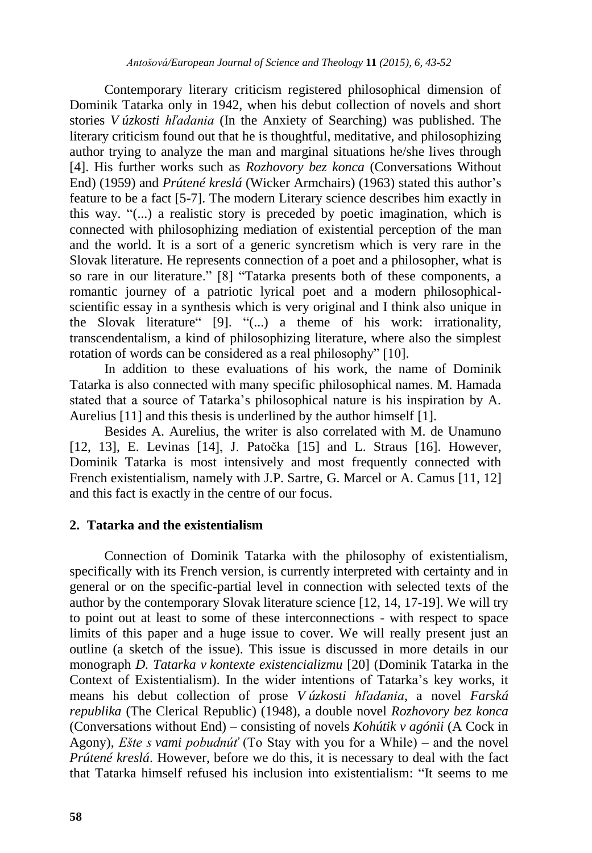Contemporary literary criticism registered philosophical dimension of Dominik Tatarka only in 1942, when his debut collection of novels and short stories *V úzkosti hľadania* (In the Anxiety of Searching) was published. The literary criticism found out that he is thoughtful, meditative, and philosophizing author trying to analyze the man and marginal situations he/she lives through [4]. His further works such as *Rozhovory bez konca* (Conversations Without End) (1959) and *Prútené kreslá* (Wicker Armchairs) (1963) stated this author"s feature to be a fact [5-7]. The modern Literary science describes him exactly in this way. "(...) a realistic story is preceded by poetic imagination, which is connected with philosophizing mediation of existential perception of the man and the world. It is a sort of a generic syncretism which is very rare in the Slovak literature. He represents connection of a poet and a philosopher, what is so rare in our literature." [8] "Tatarka presents both of these components, a romantic journey of a patriotic lyrical poet and a modern philosophicalscientific essay in a synthesis which is very original and I think also unique in the Slovak literature" [9]. "(...) a theme of his work: irrationality, transcendentalism, a kind of philosophizing literature, where also the simplest rotation of words can be considered as a real philosophy" [10].

In addition to these evaluations of his work, the name of Dominik Tatarka is also connected with many specific philosophical names. M. Hamada stated that a source of Tatarka"s philosophical nature is his inspiration by A. Aurelius [11] and this thesis is underlined by the author himself [1].

Besides A. Aurelius, the writer is also correlated with M. de Unamuno [12, 13], E. Levinas [14], J. Patočka [15] and L. Straus [16]. However, Dominik Tatarka is most intensively and most frequently connected with French existentialism, namely with J.P. Sartre, G. Marcel or A. Camus [11, 12] and this fact is exactly in the centre of our focus.

#### **2. Tatarka and the existentialism**

Connection of Dominik Tatarka with the philosophy of existentialism, specifically with its French version, is currently interpreted with certainty and in general or on the specific-partial level in connection with selected texts of the author by the contemporary Slovak literature science [12, 14, 17-19]. We will try to point out at least to some of these interconnections - with respect to space limits of this paper and a huge issue to cover. We will really present just an outline (a sketch of the issue). This issue is discussed in more details in our monograph *D. Tatarka v kontexte existencializmu* [20] (Dominik Tatarka in the Context of Existentialism). In the wider intentions of Tatarka"s key works, it means his debut collection of prose *V úzkosti hľadania*, a novel *Farská republika* (The Clerical Republic) (1948), a double novel *Rozhovory bez konca* (Conversations without End) – consisting of novels *Kohútik v agónii* (A Cock in Agony), *Ešte s vami pobudnúť* (To Stay with you for a While) – and the novel *Prútené kreslá*. However, before we do this, it is necessary to deal with the fact that Tatarka himself refused his inclusion into existentialism: "It seems to me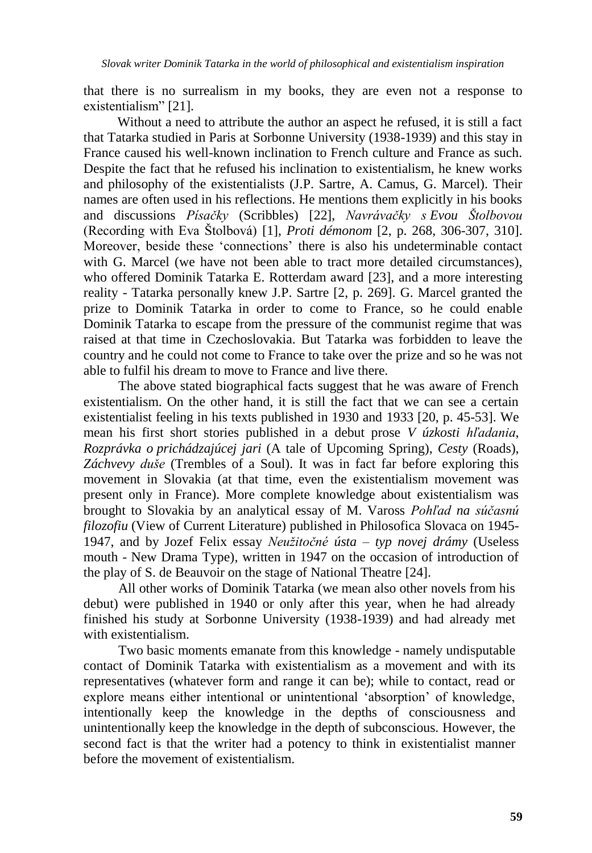that there is no surrealism in my books, they are even not a response to existentialism" [21].

 Without a need to attribute the author an aspect he refused, it is still a fact that Tatarka studied in Paris at Sorbonne University (1938-1939) and this stay in France caused his well-known inclination to French culture and France as such. Despite the fact that he refused his inclination to existentialism, he knew works and philosophy of the existentialists (J.P. Sartre, A. Camus, G. Marcel). Their names are often used in his reflections. He mentions them explicitly in his books and discussions *Písačky* (Scribbles) [22], *Navrávačky s Evou Štolbovou* (Recording with Eva Štolbová) [1], *Proti démonom* [2, p. 268, 306-307, 310]. Moreover, beside these "connections" there is also his undeterminable contact with G. Marcel (we have not been able to tract more detailed circumstances), who offered Dominik Tatarka E. Rotterdam award [23], and a more interesting reality - Tatarka personally knew J.P. Sartre [2, p. 269]. G. Marcel granted the prize to Dominik Tatarka in order to come to France, so he could enable Dominik Tatarka to escape from the pressure of the communist regime that was raised at that time in Czechoslovakia. But Tatarka was forbidden to leave the country and he could not come to France to take over the prize and so he was not able to fulfil his dream to move to France and live there.

The above stated biographical facts suggest that he was aware of French existentialism. On the other hand, it is still the fact that we can see a certain existentialist feeling in his texts published in 1930 and 1933 [20, p. 45-53]. We mean his first short stories published in a debut prose *V úzkosti hľadania*, *Rozprávka o prichádzajúcej jari* (A tale of Upcoming Spring), *Cesty* (Roads), *Záchvevy duše* (Trembles of a Soul). It was in fact far before exploring this movement in Slovakia (at that time, even the existentialism movement was present only in France). More complete knowledge about existentialism was brought to Slovakia by an analytical essay of M. Vaross *Pohľad na súčasnú filozofiu* (View of Current Literature) published in Philosofica Slovaca on 1945- 1947, and by Jozef Felix essay *Neuţitočné ústa – typ novej drámy* (Useless mouth - New Drama Type)*,* written in 1947 on the occasion of introduction of the play of S. de Beauvoir on the stage of National Theatre [24].

All other works of Dominik Tatarka (we mean also other novels from his debut) were published in 1940 or only after this year, when he had already finished his study at Sorbonne University (1938-1939) and had already met with existentialism.

Two basic moments emanate from this knowledge - namely undisputable contact of Dominik Tatarka with existentialism as a movement and with its representatives (whatever form and range it can be); while to contact, read or explore means either intentional or unintentional "absorption" of knowledge, intentionally keep the knowledge in the depths of consciousness and unintentionally keep the knowledge in the depth of subconscious. However, the second fact is that the writer had a potency to think in existentialist manner before the movement of existentialism.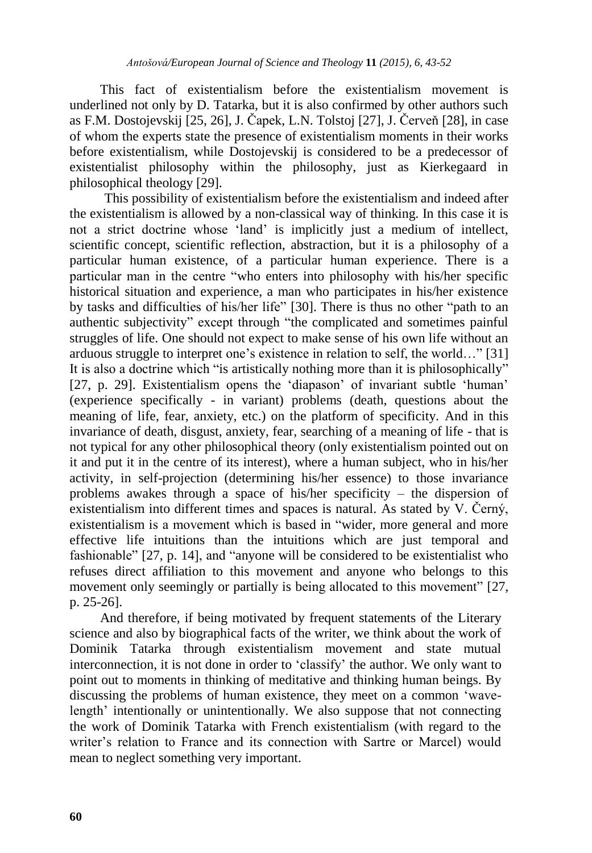This fact of existentialism before the existentialism movement is underlined not only by D. Tatarka, but it is also confirmed by other authors such as F.M. Dostojevskij [25, 26], J. Čapek, L.N. Tolstoj [27], J. Červeň [28], in case of whom the experts state the presence of existentialism moments in their works before existentialism, while Dostojevskij is considered to be a predecessor of existentialist philosophy within the philosophy, just as Kierkegaard in philosophical theology [29].

This possibility of existentialism before the existentialism and indeed after the existentialism is allowed by a non-classical way of thinking. In this case it is not a strict doctrine whose "land" is implicitly just a medium of intellect, scientific concept, scientific reflection, abstraction, but it is a philosophy of a particular human existence, of a particular human experience. There is a particular man in the centre "who enters into philosophy with his/her specific historical situation and experience, a man who participates in his/her existence by tasks and difficulties of his/her life" [30]. There is thus no other "path to an authentic subjectivity" except through "the complicated and sometimes painful struggles of life. One should not expect to make sense of his own life without an arduous struggle to interpret one"s existence in relation to self, the world…" [31] It is also a doctrine which "is artistically nothing more than it is philosophically" [27, p. 29]. Existentialism opens the 'diapason' of invariant subtle 'human' (experience specifically - in variant) problems (death, questions about the meaning of life, fear, anxiety, etc.) on the platform of specificity. And in this invariance of death, disgust, anxiety, fear, searching of a meaning of life - that is not typical for any other philosophical theory (only existentialism pointed out on it and put it in the centre of its interest), where a human subject, who in his/her activity, in self-projection (determining his/her essence) to those invariance problems awakes through a space of his/her specificity – the dispersion of existentialism into different times and spaces is natural. As stated by V. Černý, existentialism is a movement which is based in "wider, more general and more effective life intuitions than the intuitions which are just temporal and fashionable" [27, p. 14], and "anyone will be considered to be existentialist who refuses direct affiliation to this movement and anyone who belongs to this movement only seemingly or partially is being allocated to this movement" [27, p. 25-26].

 And therefore, if being motivated by frequent statements of the Literary science and also by biographical facts of the writer, we think about the work of Dominik Tatarka through existentialism movement and state mutual interconnection, it is not done in order to "classify" the author. We only want to point out to moments in thinking of meditative and thinking human beings. By discussing the problems of human existence, they meet on a common "wavelength' intentionally or unintentionally. We also suppose that not connecting the work of Dominik Tatarka with French existentialism (with regard to the writer's relation to France and its connection with Sartre or Marcel) would mean to neglect something very important.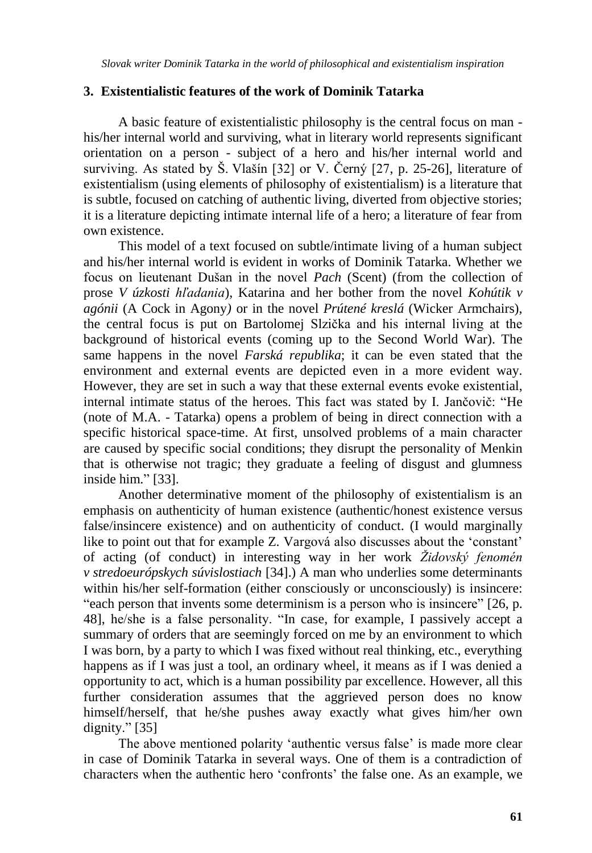## **3. Existentialistic features of the work of Dominik Tatarka**

A basic feature of existentialistic philosophy is the central focus on man his/her internal world and surviving, what in literary world represents significant orientation on a person - subject of a hero and his/her internal world and surviving. As stated by Š. Vlašín [32] or V. Černý [27, p. 25-26], literature of existentialism (using elements of philosophy of existentialism) is a literature that is subtle, focused on catching of authentic living, diverted from objective stories; it is a literature depicting intimate internal life of a hero; a literature of fear from own existence.

This model of a text focused on subtle/intimate living of a human subject and his/her internal world is evident in works of Dominik Tatarka. Whether we focus on lieutenant Dušan in the novel *Pach* (Scent) (from the collection of prose *V úzkosti hľadania*), Katarina and her bother from the novel *Kohútik v agónii* (A Cock in Agony*)* or in the novel *Prútené kreslá* (Wicker Armchairs), the central focus is put on Bartolomej Slzička and his internal living at the background of historical events (coming up to the Second World War). The same happens in the novel *Farská republika*; it can be even stated that the environment and external events are depicted even in a more evident way. However, they are set in such a way that these external events evoke existential, internal intimate status of the heroes. This fact was stated by I. Jančovič: "He (note of M.A. - Tatarka) opens a problem of being in direct connection with a specific historical space-time. At first, unsolved problems of a main character are caused by specific social conditions; they disrupt the personality of Menkin that is otherwise not tragic; they graduate a feeling of disgust and glumness inside him." [33].

Another determinative moment of the philosophy of existentialism is an emphasis on authenticity of human existence (authentic/honest existence versus false/insincere existence) and on authenticity of conduct. (I would marginally like to point out that for example Z. Vargová also discusses about the 'constant' of acting (of conduct) in interesting way in her work *Ţidovský fenomén v stredoeurópskych súvislostiach* [34].) A man who underlies some determinants within his/her self-formation (either consciously or unconsciously) is insincere: "each person that invents some determinism is a person who is insincere" [26, p. 48], he/she is a false personality. "In case, for example, I passively accept a summary of orders that are seemingly forced on me by an environment to which I was born, by a party to which I was fixed without real thinking, etc., everything happens as if I was just a tool, an ordinary wheel, it means as if I was denied a opportunity to act, which is a human possibility par excellence. However, all this further consideration assumes that the aggrieved person does no know himself/herself, that he/she pushes away exactly what gives him/her own dignity." [35]

The above mentioned polarity "authentic versus false" is made more clear in case of Dominik Tatarka in several ways. One of them is a contradiction of characters when the authentic hero "confronts" the false one. As an example, we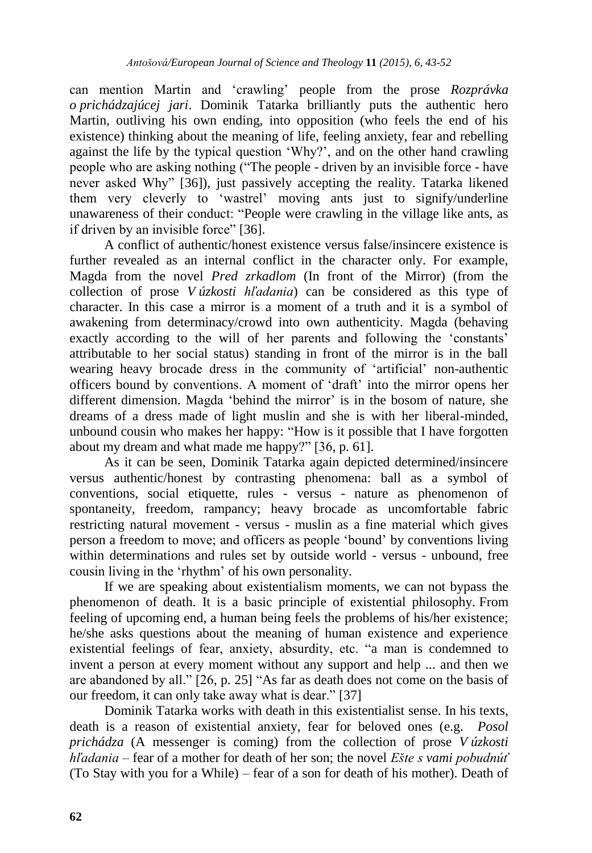can mention Martin and "crawling" people from the prose *Rozprávka o prichádzajúcej jari*. Dominik Tatarka brilliantly puts the authentic hero Martin, outliving his own ending, into opposition (who feels the end of his existence) thinking about the meaning of life, feeling anxiety, fear and rebelling against the life by the typical question "Why?", and on the other hand crawling people who are asking nothing ("The people - driven by an invisible force - have never asked Why" [36]), just passively accepting the reality. Tatarka likened them very cleverly to "wastrel" moving ants just to signify/underline unawareness of their conduct: "People were crawling in the village like ants, as if driven by an invisible force" [36].

A conflict of authentic/honest existence versus false/insincere existence is further revealed as an internal conflict in the character only. For example, Magda from the novel *Pred zrkadlom* (In front of the Mirror) (from the collection of prose *V úzkosti hľadania*) can be considered as this type of character. In this case a mirror is a moment of a truth and it is a symbol of awakening from determinacy/crowd into own authenticity. Magda (behaving exactly according to the will of her parents and following the 'constants' attributable to her social status) standing in front of the mirror is in the ball wearing heavy brocade dress in the community of "artificial" non-authentic officers bound by conventions. A moment of "draft" into the mirror opens her different dimension. Magda 'behind the mirror' is in the bosom of nature, she dreams of a dress made of light muslin and she is with her liberal-minded, unbound cousin who makes her happy: "How is it possible that I have forgotten about my dream and what made me happy?" [36, p. 61].

As it can be seen, Dominik Tatarka again depicted determined/insincere versus authentic/honest by contrasting phenomena: ball as a symbol of conventions, social etiquette, rules - versus - nature as phenomenon of spontaneity, freedom, rampancy; heavy brocade as uncomfortable fabric restricting natural movement - versus - muslin as a fine material which gives person a freedom to move; and officers as people "bound" by conventions living within determinations and rules set by outside world - versus - unbound, free cousin living in the "rhythm" of his own personality.

If we are speaking about existentialism moments, we can not bypass the phenomenon of death. It is a basic principle of existential philosophy. From feeling of upcoming end, a human being feels the problems of his/her existence; he/she asks questions about the meaning of human existence and experience existential feelings of fear, anxiety, absurdity, etc. "a man is condemned to invent a person at every moment without any support and help ... and then we are abandoned by all." [26, p. 25] "As far as death does not come on the basis of our freedom, it can only take away what is dear." [37]

Dominik Tatarka works with death in this existentialist sense. In his texts, death is a reason of existential anxiety, fear for beloved ones (e.g. *Posol prichádza* (A messenger is coming) from the collection of prose *V úzkosti hľadania* – fear of a mother for death of her son; the novel *Ešte s vami pobudnúť* (To Stay with you for a While) – fear of a son for death of his mother). Death of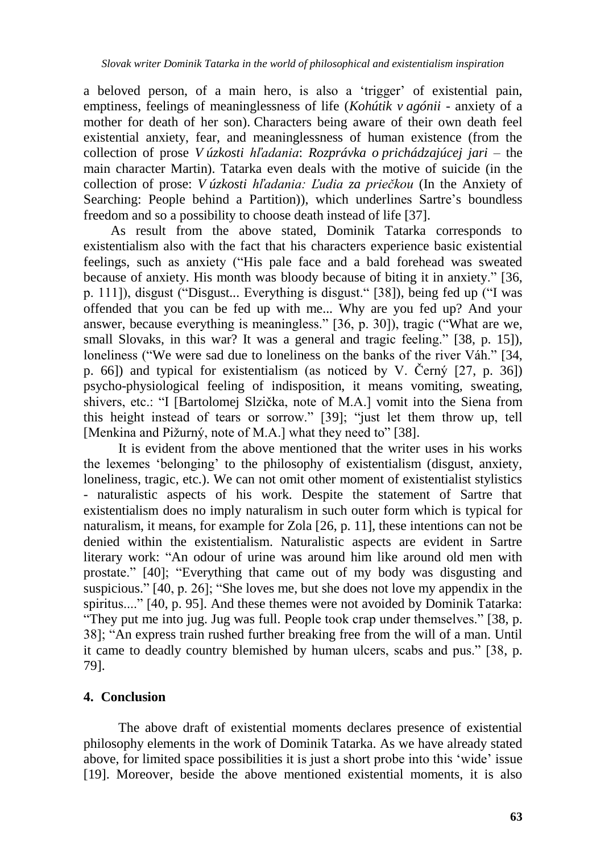a beloved person, of a main hero, is also a "trigger" of existential pain, emptiness, feelings of meaninglessness of life (*Kohútik v agónii* - anxiety of a mother for death of her son). Characters being aware of their own death feel existential anxiety, fear, and meaninglessness of human existence (from the collection of prose *V úzkosti hľadania*: *Rozprávka o prichádzajúcej jari* – the main character Martin). Tatarka even deals with the motive of suicide (in the collection of prose: *V úzkosti hľadania: Ľudia za priečkou* (In the Anxiety of Searching: People behind a Partition)), which underlines Sartre's boundless freedom and so a possibility to choose death instead of life [37].

 As result from the above stated, Dominik Tatarka corresponds to existentialism also with the fact that his characters experience basic existential feelings, such as anxiety ("His pale face and a bald forehead was sweated because of anxiety. His month was bloody because of biting it in anxiety." [36, p. 111]), disgust ("Disgust... Everything is disgust." [38]), being fed up ("I was offended that you can be fed up with me... Why are you fed up? And your answer, because everything is meaningless." [36, p. 30]), tragic ("What are we, small Slovaks, in this war? It was a general and tragic feeling." [38, p. 15]), loneliness ("We were sad due to loneliness on the banks of the river Váh." [34, p. 66]) and typical for existentialism (as noticed by V. Černý [27, p. 36]) psycho-physiological feeling of indisposition, it means vomiting, sweating, shivers, etc.: "I [Bartolomej Slzička, note of M.A.] vomit into the Siena from this height instead of tears or sorrow." [39]; "just let them throw up, tell [Menkina and Pižurný, note of M.A.] what they need to" [38].

It is evident from the above mentioned that the writer uses in his works the lexemes "belonging" to the philosophy of existentialism (disgust, anxiety, loneliness, tragic, etc.). We can not omit other moment of existentialist stylistics - naturalistic aspects of his work. Despite the statement of Sartre that existentialism does no imply naturalism in such outer form which is typical for naturalism, it means, for example for Zola [26, p. 11], these intentions can not be denied within the existentialism. Naturalistic aspects are evident in Sartre literary work: "An odour of urine was around him like around old men with prostate." [40]; "Everything that came out of my body was disgusting and suspicious." [40, p. 26]; "She loves me, but she does not love my appendix in the spiritus...." [40, p. 95]. And these themes were not avoided by Dominik Tatarka: "They put me into jug. Jug was full. People took crap under themselves." [38, p. 38]; "An express train rushed further breaking free from the will of a man. Until it came to deadly country blemished by human ulcers, scabs and pus." [38, p. 79].

#### **4. Conclusion**

The above draft of existential moments declares presence of existential philosophy elements in the work of Dominik Tatarka. As we have already stated above, for limited space possibilities it is just a short probe into this "wide" issue [19]. Moreover, beside the above mentioned existential moments, it is also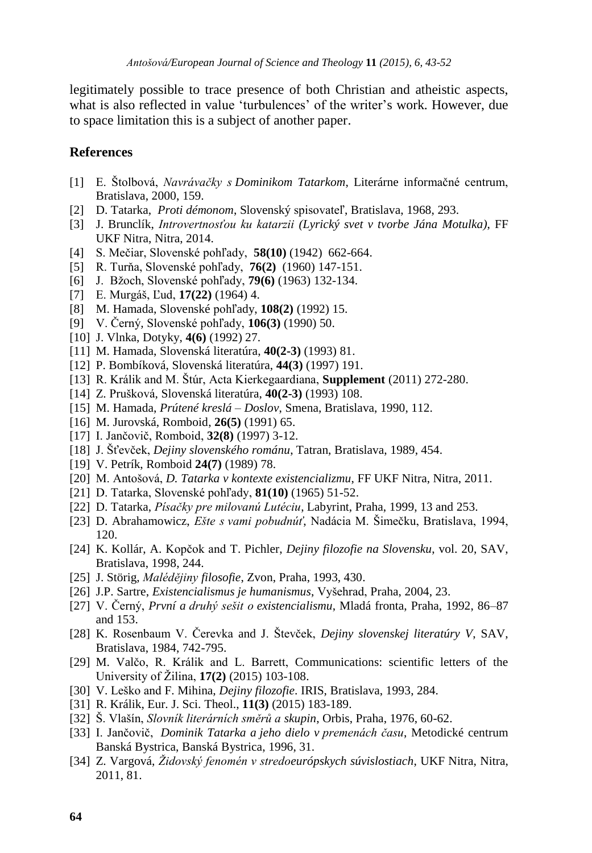legitimately possible to trace presence of both Christian and atheistic aspects, what is also reflected in value 'turbulences' of the writer's work. However, due to space limitation this is a subject of another paper.

#### **References**

- [1] E. Štolbová, *Navrávačky s Dominikom Tatarkom*, Literárne informačné centrum, Bratislava, 2000, 159.
- [2] D. Tatarka, *Proti démonom*, Slovenský spisovateľ, Bratislava, 1968, 293.
- [3] J. Brunclík, *Introvertnosťou ku katarzii (Lyrický svet v tvorbe Jána Motulka)*, FF UKF Nitra, Nitra, 2014.
- [4] S. Mečiar, Slovenské pohľady, **58(10)** (1942) 662-664.
- [5] R. Turňa, Slovenské pohľady, **76(2)** (1960) 147-151.
- [6] J. Bţoch, Slovenské pohľady, **79(6)** (1963) 132-134.
- [7] E. Murgáš, Ľud, **17(22)** (1964) 4.
- [8] M. Hamada, Slovenské pohľady, **108(2)** (1992) 15.
- [9] V. Černý*,* Slovenské pohľady, **106(3)** (1990) 50.
- [10] J. Vlnka, Dotyky, **4(6)** (1992) 27.
- [11] M. Hamada, Slovenská literatúra, **40(2-3)** (1993) 81.
- [12] P. Bombíková, Slovenská literatúra, **44(3)** (1997) 191.
- [13] R. Králik and M. Štúr, Acta Kierkegaardiana, **Supplement** (2011) 272-280.
- [14] Z. Prušková*,* Slovenská literatúra, **40(2-3)** (1993) 108.
- [15] M. Hamada, *Prútené kreslá – Doslov*, Smena, Bratislava, 1990, 112.
- [16] M. Jurovská, Romboid, **26(5)** (1991) 65.
- [17] I. Jančovič, Romboid, **32(8)** (1997) 3-12.
- [18] J. Šťevček, *Dejiny slovenského románu*, Tatran, Bratislava, 1989, 454.
- [19] V. Petrík, Romboid **24(7)** (1989) 78.
- [20] M. Antošová, *D. Tatarka v kontexte existencializmu*, FF UKF Nitra, Nitra, 2011.
- [21] D. Tatarka, Slovenské pohľady, **81(10)** (1965) 51-52.
- [22] D. Tatarka, *Písačky pre milovanú Lutéciu*, Labyrint, Praha, 1999, 13 and 253.
- [23] D. Abrahamowicz, *Ešte s vami pobudnúť*, Nadácia M. Šimečku, Bratislava, 1994, 120.
- [24] K. Kollár, A. Kopčok and T. Pichler, *Dejiny filozofie na Slovensku*, vol. 20, SAV, Bratislava, 1998, 244.
- [25] J. Störig, *Malédějiny filosofie*, Zvon, Praha, 1993, 430.
- [26] J.P. Sartre, *Existencialismus je humanismus*, Vyšehrad, Praha, 2004, 23.
- [27] V. Černý, *První a druhý sešit o existencialismu*, Mladá fronta, Praha, 1992, 86–87 and 153.
- [28] K. Rosenbaum V. Čerevka and J. Števček, *Dejiny slovenskej literatúry V*, SAV, Bratislava, 1984, 742-795.
- [29] M. Valčo, R. Králik and L. Barrett, Communications: scientific letters of the University of Žilina, **17(2)** (2015) 103-108.
- [30] V. Leško and F. Mihina, *Dejiny filozofie*. IRIS, Bratislava, 1993, 284.
- [31] R. Králik, Eur. J. Sci. Theol., **11(3)** (2015) 183-189.
- [32] Š. Vlašín, *Slovník literárních směrů a skupin*, Orbis, Praha, 1976, 60-62.
- [33] I. Jančovič, *Dominik Tatarka a jeho dielo v premenách času*, Metodické centrum Banská Bystrica, Banská Bystrica, 1996, 31.
- [34] Z. Vargová, *Ţidovský fenomén v stredoeurópskych súvislostiach*, UKF Nitra, Nitra, 2011, 81.